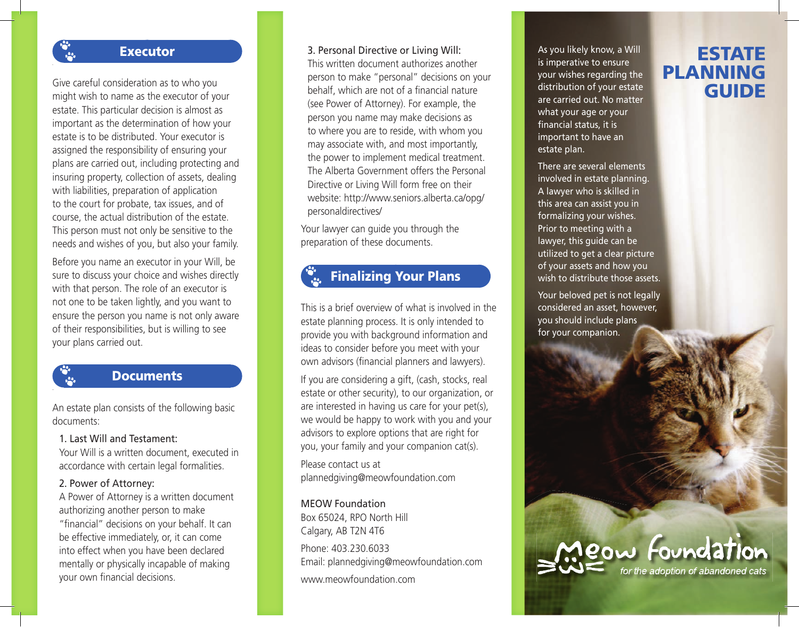### **Executor**

Give careful consideration as to who you might wish to name as the executor of your estate. This particular decision is almost as important as the determination of how your estate is to be distributed. Your executor is assigned the responsibility of ensuring your plans are carried out, including protecting and insuring property, collection of assets, dealing with liabilities, preparation of application to the court for probate, tax issues, and of course, the actual distribution of the estate. This person must not only be sensitive to the needs and wishes of you, but also your family.

Before you name an executor in your Will, be sure to discuss your choice and wishes directly with that person. The role of an executor is not one to be taken lightly, and you want to ensure the person you name is not only aware of their responsibilities, but is willing to see your plans carried out.

### **Documents**

An estate plan consists of the following basic documents:

### 1. Last Will and Testament:

 Your Will is a written document, executed in accordance with certain legal formalities.

### 2. Power of Attorney:

 A Power of Attorney is a written document authorizing another person to make "financial" decisions on your behalf. It can be effective immediately, or, it can come into effect when you have been declared mentally or physically incapable of making your own financial decisions.

### 3. Personal Directive or Living Will:

 This written document authorizes another person to make "personal" decisions on your behalf, which are not of a financial nature (see Power of Attorney). For example, the person you name may make decisions as to where you are to reside, with whom you may associate with, and most importantly, the power to implement medical treatment. The Alberta Government offers the Personal Directive or Living Will form free on their website: http://www.seniors.alberta.ca/opg/ personaldirectives/

Your lawyer can guide you through the preparation of these documents.

## Finalizing Your Plans

This is a brief overview of what is involved in the estate planning process. It is only intended to provide you with background information and ideas to consider before you meet with your own advisors (financial planners and lawyers).

If you are considering a gift, (cash, stocks, real estate or other security), to our organization, or are interested in having us care for your pet(s), we would be happy to work with you and your advisors to explore options that are right for you, your family and your companion cat(s).

Please contact us at plannedgiving@meowfoundation.com

### MEOW Foundation

Box 65024, RPO North Hill Calgary, AB T2N 4T6 Phone: 403.230.6033 Email: plannedgiving@meowfoundation.com www.meowfoundation.com

As you likely know, a Will is imperative to ensure your wishes regarding the distribution of your estate are carried out. No matter what your age or your financial status, it is important to have an estate plan.

There are several elements involved in estate planning. A lawyer who is skilled in this area can assist you in formalizing your wishes. Prior to meeting with a lawyer, this guide can be utilized to get a clear picture of your assets and how you wish to distribute those assets.

Your beloved pet is not legally considered an asset, however, you should include plans for your companion.

# ESTATE PLANNING GUIDE